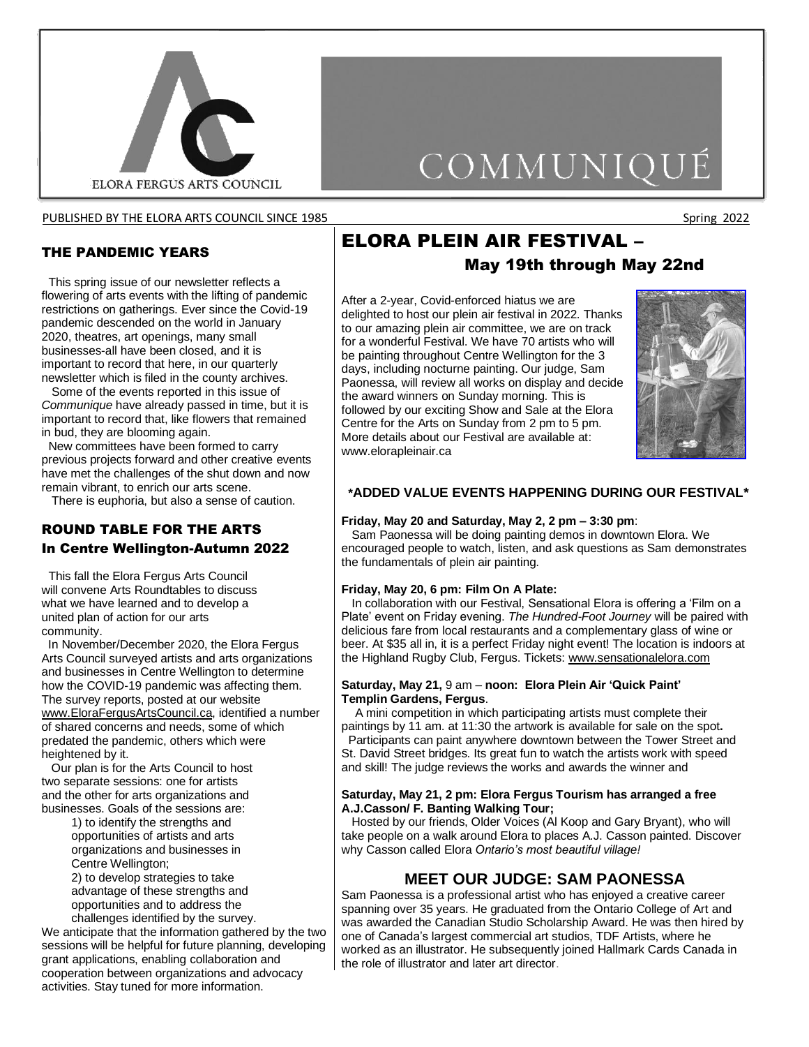

PUBLISHED BY THE ELORA ARTS COUNCIL SINCE 1985 Spring 2022 Spring 2022

#### THE PANDEMIC YEARS

 This spring issue of our newsletter reflects a flowering of arts events with the lifting of pandemic restrictions on gatherings. Ever since the Covid-19 pandemic descended on the world in January 2020, theatres, art openings, many small businesses-all have been closed, and it is important to record that here, in our quarterly newsletter which is filed in the county archives.

 Some of the events reported in this issue of *Communique* have already passed in time, but it is important to record that, like flowers that remained in bud, they are blooming again.

 New committees have been formed to carry previous projects forward and other creative events have met the challenges of the shut down and now remain vibrant, to enrich our arts scene.

There is euphoria, but also a sense of caution.

### ROUND TABLE FOR THE ARTS In Centre Wellington-Autumn 2022

 This fall the Elora Fergus Arts Council will convene Arts Roundtables to discuss what we have learned and to develop a united plan of action for our arts community.

 In November/December 2020, the Elora Fergus Arts Council surveyed artists and arts organizations and businesses in Centre Wellington to determine how the COVID-19 pandemic was affecting them. The survey reports, posted at our website [www.EloraFergusArtsCouncil.ca,](http://www.elorafergusartscouncil.ca/) identified a number of shared concerns and needs, some of which predated the pandemic, others which were heightened by it.

 Our plan is for the Arts Council to host two separate sessions: one for artists and the other for arts organizations and businesses. Goals of the sessions are:

> 1) to identify the strengths and opportunities of artists and arts organizations and businesses in Centre Wellington;

2) to develop strategies to take advantage of these strengths and opportunities and to address the challenges identified by the survey.

We anticipate that the information gathered by the two sessions will be helpful for future planning, developing grant applications, enabling collaboration and cooperation between organizations and advocacy activities. Stay tuned for more information.

# ELORA PLEIN AIR FESTIVAL –

# May 19th through May 22nd

COMMUNIQUÉ

After a 2-year, Covid-enforced hiatus we are delighted to host our plein air festival in 2022. Thanks to our amazing plein air committee, we are on track for a wonderful Festival. We have 70 artists who will be painting throughout Centre Wellington for the 3 days, including nocturne painting. Our judge, Sam Paonessa, will review all works on display and decide the award winners on Sunday morning. This is followed by our exciting Show and Sale at the Elora Centre for the Arts on Sunday from 2 pm to 5 pm. More details about our Festival are available at: [www.elorapleinair.ca](http://www.elorapleinair.ca/)



#### **\*ADDED VALUE EVENTS HAPPENING DURING OUR FESTIVAL\***

#### **Friday, May 20 and Saturday, May 2, 2 pm – 3:30 pm**:

 Sam Paonessa will be doing painting demos in downtown Elora. We encouraged people to watch, listen, and ask questions as Sam demonstrates the fundamentals of plein air painting.

#### **Friday, May 20, 6 pm: Film On A Plate:**

 In collaboration with our Festival, Sensational Elora is offering a 'Film on a Plate' event on Friday evening. *The Hundred-Foot Journey* will be paired with delicious fare from local restaurants and a complementary glass of wine or beer. At \$35 all in, it is a perfect Friday night event! The location is indoors at the Highland Rugby Club, Fergus. Tickets: [www.sensationalelora.com](http://www.sensationalelora.com/)

#### **Saturday, May 21,** 9 am – **noon: Elora Plein Air 'Quick Paint' Templin Gardens, Fergus**.

 A mini competition in which participating artists must complete their paintings by 11 am. at 11:30 the artwork is available for sale on the spot**.** Participants can paint anywhere downtown between the Tower Street and

St. David Street bridges. Its great fun to watch the artists work with speed and skill! The judge reviews the works and awards the winner and

#### **Saturday, May 21, 2 pm: Elora Fergus Tourism has arranged a free A.J.Casson/ F. Banting Walking Tour;**

 Hosted by our friends, Older Voices (Al Koop and Gary Bryant), who will take people on a walk around Elora to places A.J. Casson painted. Discover why Casson called Elora *Ontario's most beautiful village!*

### **MEET OUR JUDGE: SAM PAONESSA**

Sam Paonessa is a professional artist who has enjoyed a creative career spanning over 35 years. He graduated from the Ontario College of Art and was awarded the Canadian Studio Scholarship Award. He was then hired by one of Canada's largest commercial art studios, TDF Artists, where he worked as an illustrator. He subsequently joined Hallmark Cards Canada in the role of illustrator and later art director.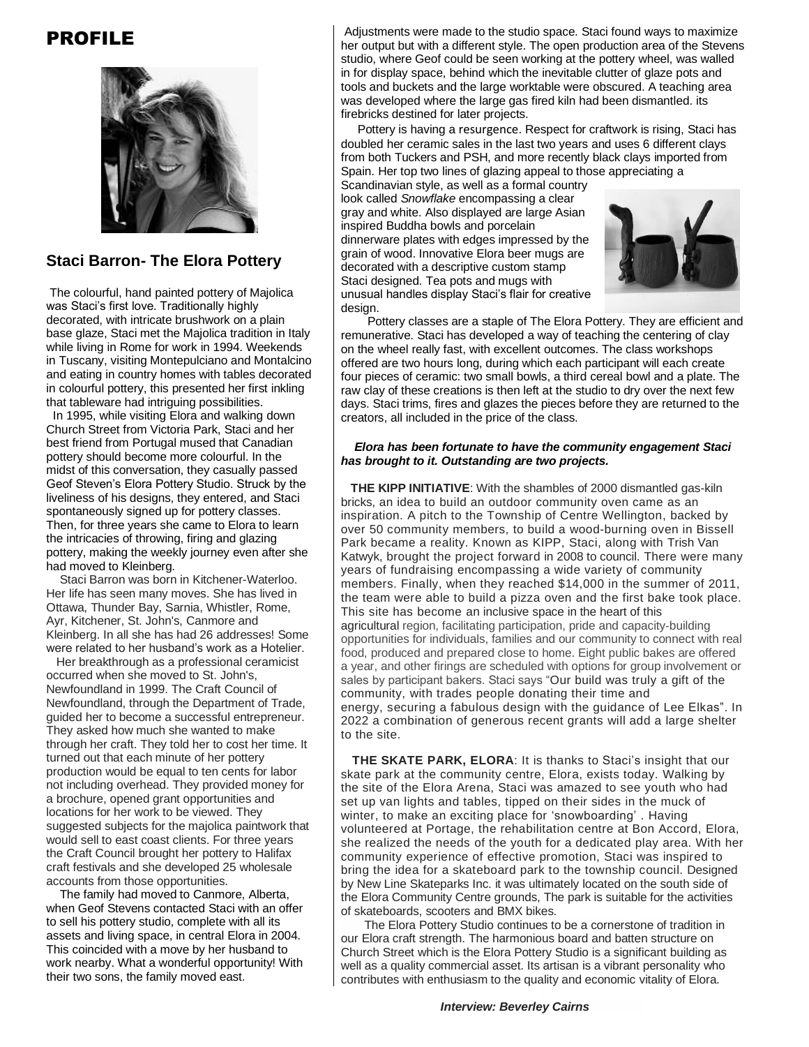# PROFILE



### **Staci Barron- The Elora Pottery**

The colourful, hand painted pottery of Majolica was Staci's first love. Traditionally highly decorated, with intricate brushwork on a plain base glaze, Staci met the Majolica tradition in Italy while living in Rome for work in 1994. Weekends in Tuscany, visiting Montepulciano and Montalcino and eating in country homes with tables decorated in colourful pottery, this presented her first inkling that tableware had intriguing possibilities.

In 1995, while visiting Elora and walking down Church Street from Victoria Park, Staci and her best friend from Portugal mused that Canadian pottery should become more colourful. In the midst of this conversation, they casually passed Geof Steven's Elora Pottery Studio. Struck by the liveliness of his designs, they entered, and Staci spontaneously signed up for pottery classes. Then, for three years she came to Elora to learn the intricacies of throwing, firing and glazing pottery, making the weekly journey even after she had moved to Kleinberg.

 Staci Barron was born in Kitchener-Waterloo. Her life has seen many moves. She has lived in Ottawa, Thunder Bay, Sarnia, Whistler, Rome, Ayr, Kitchener, St. John's, Canmore and Kleinberg. In all she has had 26 addresses! Some were related to her husband's work as a Hotelier.

 Her breakthrough as a professional ceramicist occurred when she moved to St. John's, Newfoundland in 1999. The Craft Council of Newfoundland, through the Department of Trade, guided her to become a successful entrepreneur. They asked how much she wanted to make through her craft. They told her to cost her time. It turned out that each minute of her pottery production would be equal to ten cents for labor not including overhead. They provided money for a brochure, opened grant opportunities and locations for her work to be viewed. They suggested subjects for the majolica paintwork that would sell to east coast clients. For three years the Craft Council brought her pottery to Halifax craft festivals and she developed 25 wholesale accounts from those opportunities.

 The family had moved to Canmore, Alberta, when Geof Stevens contacted Staci with an offer to sell his pottery studio, complete with all its assets and living space, in central Elora in 2004. This coincided with a move by her husband to work nearby. What a wonderful opportunity! With their two sons, the family moved east.

Adjustments were made to the studio space. Staci found ways to maximize her output but with a different style. The open production area of the Stevens studio, where Geof could be seen working at the pottery wheel, was walled in for display space, behind which the inevitable clutter of glaze pots and tools and buckets and the large worktable were obscured. A teaching area was developed where the large gas fired kiln had been dismantled. its firebricks destined for later projects.

 Pottery is having a resurgence. Respect for craftwork is rising, Staci has doubled her ceramic sales in the last two years and uses 6 different clays from both Tuckers and PSH, and more recently black clays imported from Spain. Her top two lines of glazing appeal to those appreciating a

Scandinavian style, as well as a formal country look called *Snowflake* encompassing a clear gray and white. Also displayed are larg*e* Asian inspired Buddha bowls and porcelain dinnerware plates with edges impressed by the grain of wood. Innovative Elora beer mugs are decorated with a descriptive custom stamp Staci designed. Tea pots and mugs with unusual handles display Staci's flair for creative design.



 Pottery classes are a staple of The Elora Pottery. They are efficient and remunerative. Staci has developed a way of teaching the centering of clay on the wheel really fast, with excellent outcomes. The class workshops offered are two hours long, during which each participant will each create four pieces of ceramic: two small bowls, a third cereal bowl and a plate. The raw clay of these creations is then left at the studio to dry over the next few days. Staci trims, fires and glazes the pieces before they are returned to the creators, all included in the price of the class.

#### *Elora has been fortunate to have the community engagement Staci has brought to it. Outstanding are two projects.*

**THE KIPP INITIATIVE**: With the shambles of 2000 dismantled gas-kiln bricks, an idea to build an outdoor community oven came as an inspiration. A pitch to the Township of Centre Wellington, backed by over 50 community members, to build a wood-burning oven in Bissell Park became a reality. Known as KIPP, Staci, along with Trish Van Katwyk, brought the project forward in 2008 to council. There were many years of fundraising encompassing a wide variety of community members. Finally, when they reached \$14,000 in the summer of 2011, the team were able to build a pizza oven and the first bake took place. This site has become an inclusive space in the heart of this agricultural region, facilitating participation, pride and capacity‐building opportunities for individuals, families and our community to connect with real food, produced and prepared close to home. Eight public bakes are offered a year, and other firings are scheduled with options for group involvement or sales by participant bakers. Staci says "Our build was truly a gift of the community, with trades people donating their time and energy, securing a fabulous design with the guidance of Lee Elkas". In 2022 a combination of generous recent grants will add a large shelter to the site.

 **THE SKATE PARK, ELORA**: It is thanks to Staci's insight that our skate park at the community centre, Elora, exists today. Walking by the site of the Elora Arena, Staci was amazed to see youth who had set up van lights and tables, tipped on their sides in the muck of winter, to make an exciting place for 'snowboarding' . Having volunteered at Portage, the rehabilitation centre at Bon Accord, Elora, she realized the needs of the youth for a dedicated play area. With her community experience of effective promotion, Staci was inspired to bring the idea for a skateboard park to the township council. Designed by New Line Skateparks Inc. it was ultimately located on the south side of the Elora Community Centre grounds, The park is suitable for the activities of skateboards, scooters and BMX bikes.

 The Elora Pottery Studio continues to be a cornerstone of tradition in our Elora craft strength. The harmonious board and batten structure on Church Street which is the Elora Pottery Studio is a significant building as well as a quality commercial asset. Its artisan is a vibrant personality who contributes with enthusiasm to the quality and economic vitality of Elora.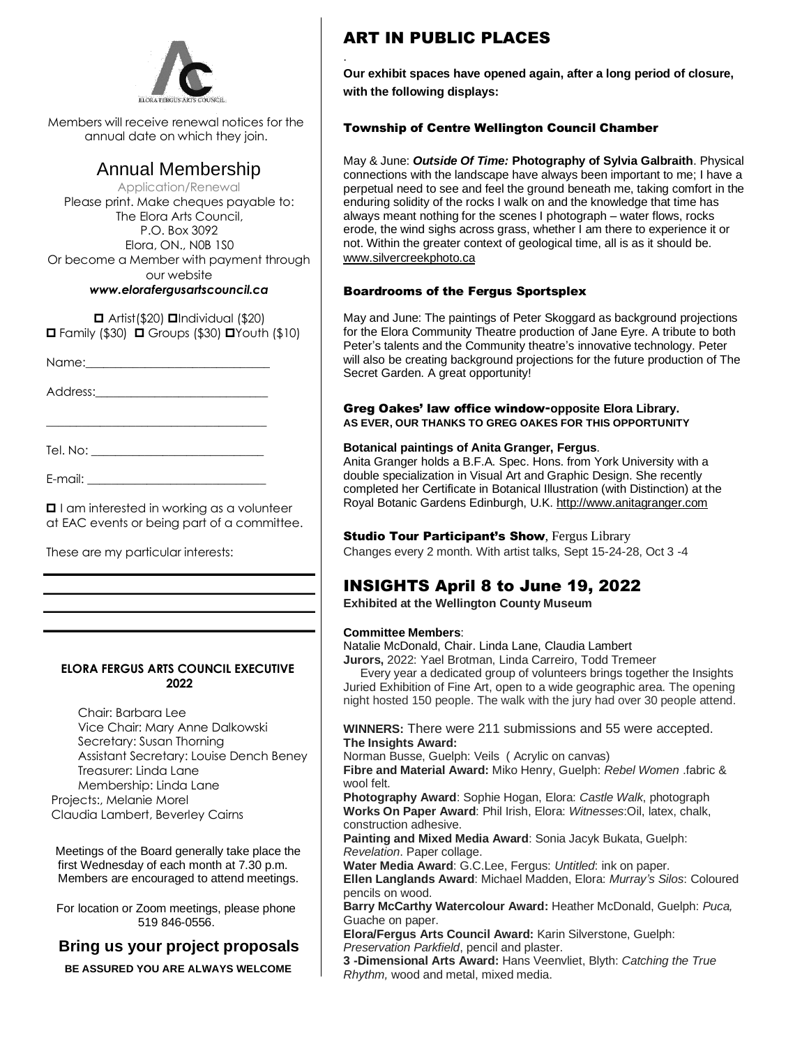

Members will receive renewal notices for the annual date on which they join.

# Annual Membership

Application/Renewal Please print. Make cheques payable to: The Elora Arts Council, P.O. Box 3092 Elora, ON., N0B 1S0 Or become a Member with payment through our website *www.elorafergusartscouncil.ca*

 $\Box$  Artist(\$20)  $\Box$ Individual (\$20)  $\Box$  Family (\$30)  $\Box$  Groups (\$30)  $\Box$  Youth (\$10)

Name:

Address:\_\_\_\_\_\_\_\_\_\_\_\_\_\_\_\_\_\_\_\_\_\_\_\_\_\_\_\_\_

\_\_\_\_\_\_\_\_\_\_\_\_\_\_\_\_\_\_\_\_\_\_\_\_\_\_\_\_\_\_\_\_\_\_\_\_\_

Tel. No: \_\_\_\_\_\_\_\_\_\_\_\_\_\_\_\_\_\_\_\_\_\_\_\_\_\_\_\_\_

E-mail: \_\_\_\_\_\_\_\_\_\_\_\_\_\_\_\_\_\_\_\_\_\_\_\_\_\_\_\_\_\_

 $\Box$  I am interested in working as a volunteer at EAC events or being part of a committee.

These are my particular interests:

#### **ELORA FERGUS ARTS COUNCIL EXECUTIVE 2022**

Chair: Barbara Lee Vice Chair: Mary Anne Dalkowski Secretary: Susan Thorning Assistant Secretary: Louise Dench Beney Treasurer: Linda Lane Membership: Linda Lane Projects:, Melanie Morel Claudia Lambert, Beverley Cairns

Meetings of the Board generally take place the first Wednesday of each month at 7.30 p.m. Members are encouraged to attend meetings.

For location or Zoom meetings, please phone 519 846-0556.

### **Bring us your project proposals**

**BE ASSURED YOU ARE ALWAYS WELCOME**

# ART IN PUBLIC PLACES

.

**Our exhibit spaces have opened again, after a long period of closure, with the following displays:** 

#### Township of Centre Wellington Council Chamber

May & June: *Outside Of Time:* **Photography of Sylvia Galbraith**. Physical connections with the landscape have always been important to me; I have a perpetual need to see and feel the ground beneath me, taking comfort in the enduring solidity of the rocks I walk on and the knowledge that time has always meant nothing for the scenes I photograph – water flows, rocks erode, the wind sighs across grass, whether I am there to experience it or not. Within the greater context of geological time, all is as it should be. www.silvercreekphoto.ca

#### Boardrooms of the Fergus Sportsplex

May and June: The paintings of Peter Skoggard as background projections for the Elora Community Theatre production of Jane Eyre. A tribute to both Peter's talents and the Community theatre's innovative technology. Peter will also be creating background projections for the future production of The Secret Garden. A great opportunity!

#### Greg Oakes' law office window**-opposite Elora Library. AS EVER, OUR THANKS TO GREG OAKES FOR THIS OPPORTUNITY**

#### **Botanical paintings of Anita Granger, Fergus**.

Anita Granger holds a B.F.A. Spec. Hons. from York University with a double specialization in Visual Art and Graphic Design. She recently completed her Certificate in Botanical Illustration (with Distinction) at the Royal Botanic Gardens Edinburgh, U.K. [http://www.anitagranger.com](http://www.anitagranger.com/)

#### **Studio Tour Participant's Show, Fergus Library**

Changes every 2 month. With artist talks, Sept 15-24-28, Oct 3 -4

# INSIGHTS April 8 to June 19, 2022

**Exhibited at the Wellington County Museum**

#### **Committee Members**:

Natalie McDonald, Chair. Linda Lane, Claudia Lambert

**Jurors,** 2022: Yael Brotman, Linda Carreiro, Todd Tremeer

 Every year a dedicated group of volunteers brings together the Insights Juried Exhibition of Fine Art, open to a wide geographic area. The opening night hosted 150 people. The walk with the jury had over 30 people attend.

#### **WINNERS:** There were 211 submissions and 55 were accepted. **The Insights Award:**

Norman Busse, Guelph: Veils ( Acrylic on canvas)

**Fibre and Material Award:** Miko Henry, Guelph: *Rebel Women* .fabric & wool felt.

**Photography Award**: Sophie Hogan, Elora: *Castle Walk*, photograph **Works On Paper Award**: Phil Irish, Elora: *Witnesses*:Oil, latex, chalk, construction adhesive.

**Painting and Mixed Media Award**: Sonia Jacyk Bukata, Guelph: *Revelation*. Paper collage.

**Water Media Award**: G.C.Lee, Fergus: *Untitled*: ink on paper.

**Ellen Langlands Award**: Michael Madden, Elora: *Murray's Silos*: Coloured pencils on wood.

**Barry McCarthy Watercolour Award:** Heather McDonald, Guelph: *Puca,* Guache on paper.

**Elora/Fergus Arts Council Award:** Karin Silverstone, Guelph: *Preservation Parkfield*, pencil and plaster.

**3 -Dimensional Arts Award:** Hans Veenvliet, Blyth: *Catching the True Rhythm,* wood and metal, mixed media.